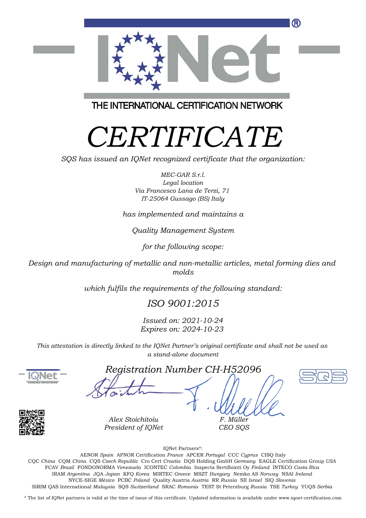

THE INTERNATIONAL CERTIFICATION NETWORK

## *CERTIFICATE*

*SQS has issued an IQNet recognized certificate that the organization:*

*MEC-GAR S.r.l. Legal location Via Francesco Lana de Terzi, 71 IT-25064 Gussago (BS) Italy*

*has implemented and maintains a*

*Quality Management System*

*for the following scope:*

*Design and manufacturing of metallic and non-metallic articles, metal forming dies and molds*

*which fulfils the requirements of the following standard:*

*ISO 9001:2015*

*Issued on: 2021-10-24 Expires on: 2024-10-23*

*This attestation is directly linked to the IQNet Partner's original certificate and shall not be used as a stand-alone document*



*Registration Number CH-H52096*





*Alex Stoichitoiu President of IQNet*

IQNet Partners\*:

*F. Müller CEO SQS*

This annex is only valid in connection with the above-mentioned certificate. FCAV *Brazil* FONDONORMA *Venezuela* ICONTEC *Colombia* Inspecta Sertifiointi Oy *Finland* INTECO *Costa Rica* AENOR *Spain* AFNOR Certification *France* APCER *Portugal* CCC *Cyprus* CISQ Italy CQC *China* CQM *China* CQS *Czech Republic* Cro Cert *Croatia* DQS Holding GmbH *Germany* EAGLE Certification Group *USA* IRAM *Argentina* JQA *Japan* KFQ *Korea* MIRTEC *Greece* MSZT *Hungary* Nemko AS *Norway* NSAI *Ireland* NYCE-SIGE *México* PCBC *Poland* Quality Austria *Austria* RR *Russia* SII *Israel* SIQ *Slovenia* SIRIM QAS International *Malaysia* SQS *Switzerland* SRAC *Romania* TEST St Petersburg *Russia* TSE *Turkey* YUQS *Serbia*

\* The list of IQNet partners is valid at the time of issue of this certificate. Updated information is available under www.iqnet-certification.com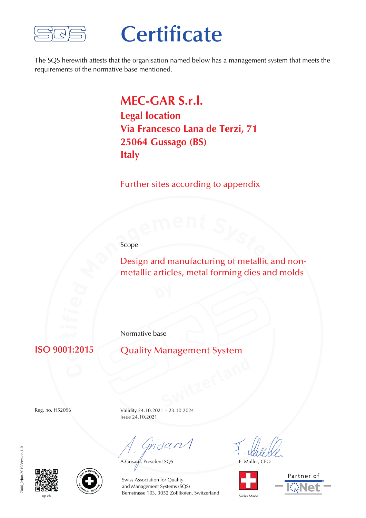

## **Certificate**

The SQS herewith attests that the organisation named below has a management system that meets the requirements of the normative base mentioned.

> **MEC-GAR S.r.l. Legal location Via Francesco Lana de Terzi, 71 25064 Gussago (BS) Italy**

Further sites according to appendix

Scope

Design and manufacturing of metallic and nonmetallic articles, metal forming dies and molds

Normative base

**ISO 9001:2015**

Quality Management System

Reg. no. H52096

Validity 24.10.2021 – 23.10.2024 Issue 24.10.2021

Cmoan

A.Grisard, President SQS F. Müller, CEO









sqs.ch Swiss Made Bernstrasse 103, 3052 Zollikofen, Switzerland Swiss Made Swiss Association for Quality and Management Systems (SQS)